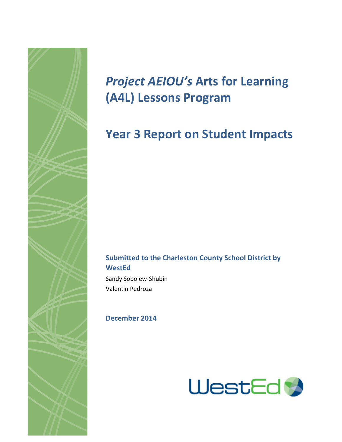

# **Project AEIOU's Arts for Learning (A4L) Lessons Program**

## **Year 3 Report on Student Impacts**

## **Submitted to the Charleston County School District by WestEd**

Sandy Sobolew-Shubin Valentin Pedroza

## **December 2014**

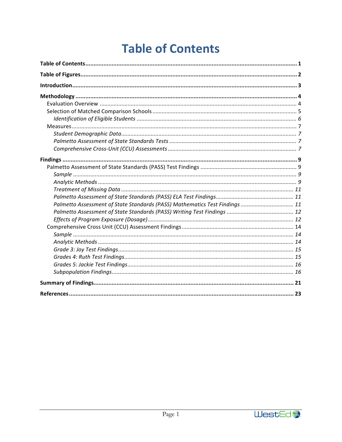# **Table of Contents**

| Palmetto Assessment of State Standards (PASS) Mathematics Test Findings  11 |
|-----------------------------------------------------------------------------|
|                                                                             |
|                                                                             |
|                                                                             |

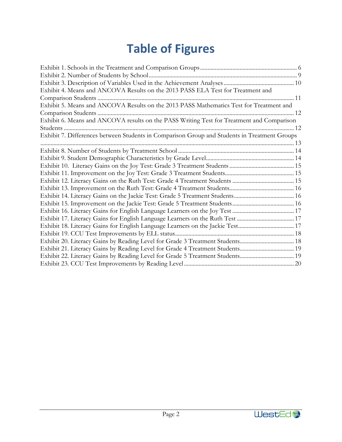# **Table of Figures**

| Exhibit 4. Means and ANCOVA Results on the 2013 PASS ELA Test for Treatment and           |
|-------------------------------------------------------------------------------------------|
|                                                                                           |
| Exhibit 5. Means and ANCOVA Results on the 2013 PASS Mathematics Test for Treatment and   |
|                                                                                           |
| Exhibit 6. Means and ANCOVA results on the PASS Writing Test for Treatment and Comparison |
|                                                                                           |
|                                                                                           |
|                                                                                           |
|                                                                                           |
|                                                                                           |
|                                                                                           |
|                                                                                           |
|                                                                                           |
|                                                                                           |
|                                                                                           |
|                                                                                           |
|                                                                                           |
| Exhibit 17. Literacy Gains for English Language Learners on the Ruth Test  17             |
| Exhibit 18. Literacy Gains for English Language Learners on the Jackie Test 17            |
|                                                                                           |
|                                                                                           |
| Exhibit 21. Literacy Gains by Reading Level for Grade 4 Treatment Students 19             |
| Exhibit 22. Literacy Gains by Reading Level for Grade 5 Treatment Students 19             |
|                                                                                           |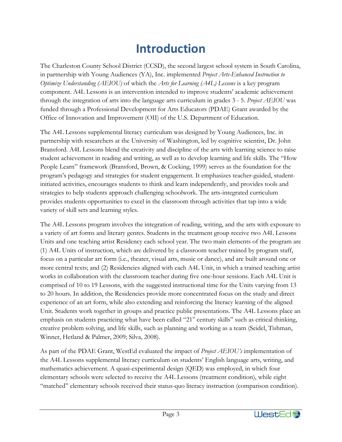## **Introduction**

The Charleston County School District (CCSD), the second largest school system in South Carolina, in partnership with Young Audiences (YA), Inc. implemented *Project Arts-Enhanced Instruction to Optimize Understanding (AEIOU)* of which the *Arts for Learning (A4L) Lessons* is a key program component. A4L Lessons is an intervention intended to improve students' academic achievement through the integration of arts into the language arts curriculum in grades 3 - 5. *Project AEIOU* was funded through a Professional Development for Arts Educators (PDAE) Grant awarded by the Office of Innovation and Improvement (OII) of the U.S. Department of Education.

The A4L Lessons supplemental literacy curriculum was designed by Young Audiences, Inc. in partnership with researchers at the University of Washington, led by cognitive scientist, Dr. John Bransford. A4L Lessons blend the creativity and discipline of the arts with learning science to raise student achievement in reading and writing, as well as to develop learning and life skills. The "How People Learn" framework (Bransford, Brown, & Cocking, 1999) serves as the foundation for the program's pedagogy and strategies for student engagement. It emphasizes teacher-guided, studentinitiated activities, encourages students to think and learn independently, and provides tools and strategies to help students approach challenging schoolwork. The arts-integrated curriculum provides students opportunities to excel in the classroom through activities that tap into a wide variety of skill sets and learning styles.

The A4L Lessons program involves the integration of reading, writing, and the arts with exposure to a variety of art forms and literary genres. Students in the treatment group receive two A4L Lessons Units and one teaching artist Residency each school year. The two main elements of the program are (1) A4L Units of instruction, which are delivered by a classroom teacher trained by program staff, focus on a particular art form (i.e., theater, visual arts, music or dance), and are built around one or more central texts; and (2) Residencies aligned with each A4L Unit, in which a trained teaching artist works in collaboration with the classroom teacher during five one-hour sessions. Each A4L Unit is comprised of 10 to 19 Lessons, with the suggested instructional time for the Units varying from 13 to 20 hours. In addition, the Residencies provide more concentrated focus on the study and direct experience of an art form, while also extending and reinforcing the literacy learning of the aligned Unit. Students work together in groups and practice public presentations. The A4L Lessons place an emphasis on students practicing what have been called "21<sup>st</sup> century skills" such as critical thinking, creative problem solving, and life skills, such as planning and working as a team (Seidel, Tishman, Winner, Hetland & Palmer, 2009; Silva, 2008).

As part of the PDAE Grant, WestEd evaluated the impact of *Project AEIOU's* implementation of the A4L Lessons supplemental literacy curriculum on students' English language arts, writing, and mathematics achievement. A quasi-experimental design (QED) was employed, in which four elementary schools were selected to receive the A4L Lessons (treatment condition), while eight "matched" elementary schools received their status-quo literacy instruction (comparison condition).

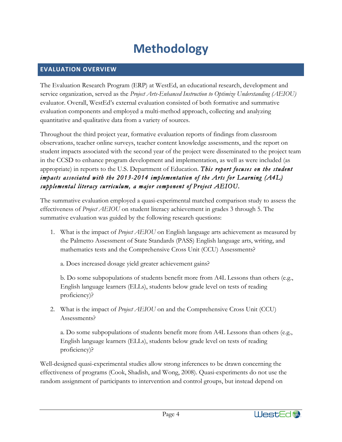# **Methodology**

## **EVALUATION OVERVIEW**

The Evaluation Research Program (ERP) at WestEd, an educational research, development and service organization, served as the *Project Arts-Enhanced Instruction to Optimize Understanding (AEIOU)*  evaluator. Overall, WestEd's external evaluation consisted of both formative and summative evaluation components and employed a multi-method approach, collecting and analyzing quantitative and qualitative data from a variety of sources.

Throughout the third project year, formative evaluation reports of findings from classroom observations, teacher online surveys, teacher content knowledge assessments, and the report on student impacts associated with the second year of the project were disseminated to the project team in the CCSD to enhance program development and implementation, as well as were included (as appropriate) in reports to the U.S. Department of Education. *This report focuses on the student impacts associated with the 2013-2014 implementation of the Arts for Learning (A4L) supplemental literacy curriculum, a major component of Project AEIOU.*

The summative evaluation employed a quasi-experimental matched comparison study to assess the effectiveness of *Project AEIOU* on student literacy achievement in grades 3 through 5. The summative evaluation was guided by the following research questions:

1. What is the impact of *Project AEIOU* on English language arts achievement as measured by the Palmetto Assessment of State Standards (PASS) English language arts, writing, and mathematics tests and the Comprehensive Cross Unit (CCU) Assessments?

a. Does increased dosage yield greater achievement gains?

b. Do some subpopulations of students benefit more from A4L Lessons than others (e.g., English language learners (ELLs), students below grade level on tests of reading proficiency)?

2. What is the impact of *Project AEIOU* on and the Comprehensive Cross Unit (CCU) Assessments?

a. Do some subpopulations of students benefit more from A4L Lessons than others (e.g., English language learners (ELLs), students below grade level on tests of reading proficiency)?

Well-designed quasi-experimental studies allow strong inferences to be drawn concerning the effectiveness of programs (Cook, Shadish, and Wong, 2008). Quasi-experiments do not use the random assignment of participants to intervention and control groups, but instead depend on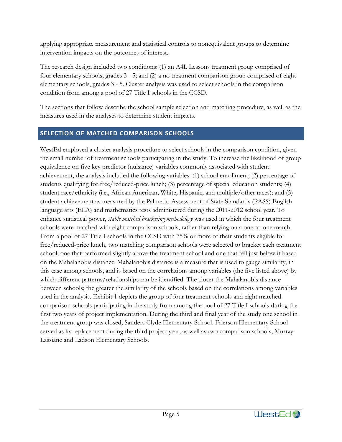applying appropriate measurement and statistical controls to nonequivalent groups to determine intervention impacts on the outcomes of interest.

The research design included two conditions: (1) an A4L Lessons treatment group comprised of four elementary schools, grades 3 - 5; and (2) a no treatment comparison group comprised of eight elementary schools, grades 3 - 5. Cluster analysis was used to select schools in the comparison condition from among a pool of 27 Title I schools in the CCSD.

The sections that follow describe the school sample selection and matching procedure, as well as the measures used in the analyses to determine student impacts.

## **SELECTION OF MATCHED COMPARISON SCHOOLS**

WestEd employed a cluster analysis procedure to select schools in the comparison condition, given the small number of treatment schools participating in the study. To increase the likelihood of group equivalence on five key predictor (nuisance) variables commonly associated with student achievement, the analysis included the following variables: (1) school enrollment; (2) percentage of students qualifying for free/reduced-price lunch; (3) percentage of special education students; (4) student race/ethnicity (i.e., African American, White, Hispanic, and multiple/other races); and (5) student achievement as measured by the Palmetto Assessment of State Standards (PASS) English language arts (ELA) and mathematics tests administered during the 2011-2012 school year. To enhance statistical power, *stable matched bracketing methodology* was used in which the four treatment schools were matched with eight comparison schools, rather than relying on a one-to-one match. From a pool of 27 Title I schools in the CCSD with 75% or more of their students eligible for free/reduced-price lunch, two matching comparison schools were selected to bracket each treatment school; one that performed slightly above the treatment school and one that fell just below it based on the Mahalanobis distance. Mahalanobis distance is a measure that is used to gauge similarity, in this case among schools, and is based on the correlations among variables (the five listed above) by which different patterns/relationships can be identified. The closer the Mahalanobis distance between schools; the greater the similarity of the schools based on the correlations among variables used in the analysis. Exhibit 1 depicts the group of four treatment schools and eight matched comparison schools participating in the study from among the pool of 27 Title I schools during the first two years of project implementation. During the third and final year of the study one school in the treatment group was closed, Sanders Clyde Elementary School. Frierson Elementary School served as its replacement during the third project year, as well as two comparison schools, Murray Lassiane and Ladson Elementary Schools.

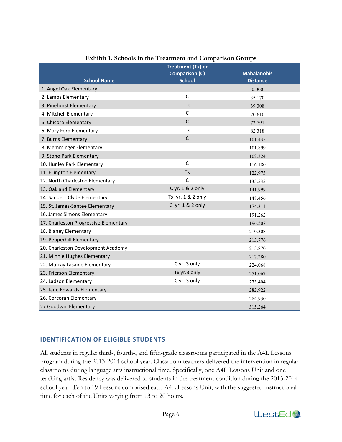|                                       | <b>Treatment (Tx) or</b> |                    |
|---------------------------------------|--------------------------|--------------------|
|                                       | <b>Comparison (C)</b>    | <b>Mahalanobis</b> |
| <b>School Name</b>                    | <b>School</b>            | <b>Distance</b>    |
| 1. Angel Oak Elementary               |                          | 0.000              |
| 2. Lambs Elementary                   | $\mathsf{C}$             | 35.170             |
| 3. Pinehurst Elementary               | <b>Tx</b>                | 39.308             |
| 4. Mitchell Elementary                | C                        | 70.610             |
| 5. Chicora Elementary                 | $\mathsf{C}$             | 73.791             |
| 6. Mary Ford Elementary               | <b>Tx</b>                | 82.318             |
| 7. Burns Elementary                   | $\mathsf{C}$             | 101.435            |
| 8. Memminger Elementary               |                          | 101.899            |
| 9. Stono Park Elementary              |                          | 102.324            |
| 10. Hunley Park Elementary            | $\mathsf{C}$             | 116.180            |
| 11. Ellington Elementary              | <b>Tx</b>                | 122.975            |
| 12. North Charleston Elementary       | $\mathsf{C}$             | 135.535            |
| 13. Oakland Elementary                | C yr. 1 & 2 only         | 141.999            |
| 14. Sanders Clyde Elementary          | Tx yr. 1 & 2 only        | 148.456            |
| 15. St. James-Santee Elementary       | C yr. 1 & 2 only         | 174.311            |
| 16. James Simons Elementary           |                          | 191.262            |
| 17. Charleston Progressive Elementary |                          | 196.507            |
| 18. Blaney Elementary                 |                          | 210.308            |
| 19. Pepperhill Elementary             |                          | 213.776            |
| 20. Charleston Development Academy    |                          | 213.870            |
| 21. Minnie Hughes Elementary          |                          | 217.280            |
| 22. Murray Lasaine Elementary         | C yr. 3 only             | 224.068            |
| 23. Frierson Elementary               | Tx yr.3 only             | 251.067            |
| 24. Ladson Elementary                 | C yr. 3 only             | 273.404            |
| 25. Jane Edwards Elementary           |                          | 282.922            |
| 26. Corcoran Elementary               |                          | 284.930            |
| 27 Goodwin Elementary                 |                          | 315.264            |

## **Exhibit 1. Schools in the Treatment and Comparison Groups**

## **IDENTIFICATION OF ELIGIBLE STUDENTS**

All students in regular third-, fourth-, and fifth-grade classrooms participated in the A4L Lessons program during the 2013-2014 school year. Classroom teachers delivered the intervention in regular classrooms during language arts instructional time. Specifically, one A4L Lessons Unit and one teaching artist Residency was delivered to students in the treatment condition during the 2013-2014 school year. Ten to 19 Lessons comprised each A4L Lessons Unit, with the suggested instructional time for each of the Units varying from 13 to 20 hours.

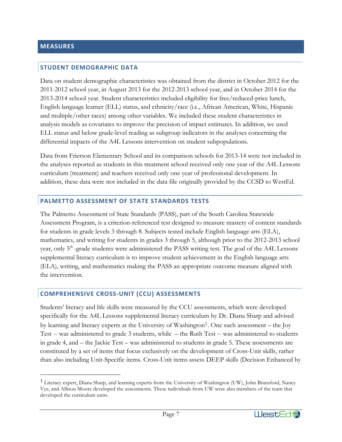## **STUDENT DEMOGRAPHIC DATA**

Data on student demographic characteristics was obtained from the district in October 2012 for the 2011-2012 school year, in August 2013 for the 2012-2013 school year, and in October 2014 for the 2013-2014 school year. Student characteristics included eligibility for free/reduced-price lunch, English language learner (ELL) status, and ethnicity/race (i.e., African American, White, Hispanic and multiple/other races) among other variables. We included these student characteristics in analysis models as covariates to improve the precision of impact estimates. In addition, we used ELL status and below grade-level reading as subgroup indicators in the analyses concerning the differential impacts of the A4L Lessons intervention on student subpopulations.

Data from Frierson Elementary School and its comparison schools for 2013-14 were not included in the analyses reported as students in this treatment school received only one year of the A4L Lessons curriculum (treatment) and teachers received only one year of professional development. In addition, these data were not included in the data file originally provided by the CCSD to WestEd.

#### **PALMETTO ASSESSMENT OF STATE STANDARDS TESTS**

The Palmetto Assessment of State Standards (PASS), part of the South Carolina Statewide Assessment Program, is a criterion-referenced test designed to measure mastery of content standards for students in grade levels 3 through 8. Subjects tested include English language arts (ELA), mathematics, and writing for students in grades 3 through 5, although prior to the 2012-2013 school year, only 5<sup>th</sup>-grade students were administered the PASS writing test. The goal of the A4L Lessons supplemental literacy curriculum is to improve student achievement in the English language arts (ELA), writing, and mathematics making the PASS an appropriate outcome measure aligned with the intervention.

#### **COMPREHENSIVE CROSS-UNIT (CCU) ASSESSMENTS**

Students' literacy and life skills were measured by the CCU assessments, which were developed specifically for the A4L Lessons supplemental literacy curriculum by Dr. Diana Sharp and advised by learning and literacy experts at the University of Washington<sup>1</sup>. One such assessment – the Joy Test -- was administered to grade 3 students, while – the Ruth Test -- was administered to students in grade 4, and – the Jackie Test – was administered to students in grade 5. These assessments are constituted by a set of items that focus exclusively on the development of Cross-Unit skills, rather than also including Unit-Specific items. Cross-Unit items assess DEEP skills (Decision Enhanced by

<sup>&</sup>lt;sup>1</sup> Literacy expert, Diana Sharp, and learning experts from the University of Washington (UW), John Bransford, Nancy Vye, and Allison Moore developed the assessments. These individuals from UW were also members of the team that developed the curriculum units.

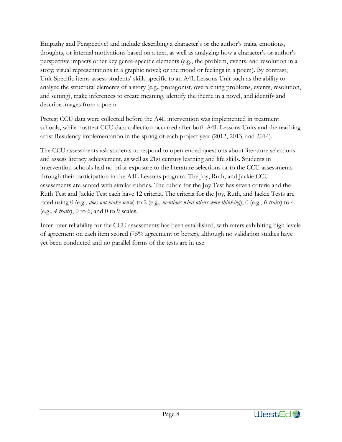Empathy and Perspective) and include describing a character's or the author's traits, emotions, thoughts, or internal motivations based on a text, as well as analyzing how a character's or author's perspective impacts other key genre-specific elements (e.g., the problem, events, and resolution in a story; visual representations in a graphic novel; or the mood or feelings in a poem). By contrast, Unit-Specific items assess students' skills specific to an A4L Lessons Unit such as the ability to analyze the structural elements of a story (e.g., protagonist, overarching problems, events, resolution, and setting), make inferences to create meaning, identify the theme in a novel, and identify and describe images from a poem.

Pretest CCU data were collected before the A4L intervention was implemented in treatment schools, while posttest CCU data collection occurred after both A4L Lessons Units and the teaching artist Residency implementation in the spring of each project year (2012, 2013, and 2014).

The CCU assessments ask students to respond to open-ended questions about literature selections and assess literacy achievement, as well as 21st century learning and life skills. Students in intervention schools had no prior exposure to the literature selections or to the CCU assessments through their participation in the A4L Lessons program. The Joy, Ruth, and Jackie CCU assessments are scored with similar rubrics. The rubric for the Joy Test has seven criteria and the Ruth Test and Jackie Test each have 12 criteria. The criteria for the Joy, Ruth, and Jackie Tests are rated using 0 (e.g., *does not make sense*) to 2 (e.g., *mentions what others were thinking*), 0 (e.g., *0 traits*) to 4 (e.g., *4 traits*), 0 to 6, and 0 to 9 scales.

Inter-rater reliability for the CCU assessments has been established, with raters exhibiting high levels of agreement on each item scored (75% agreement or better), although no validation studies have yet been conducted and no parallel forms of the tests are in use.

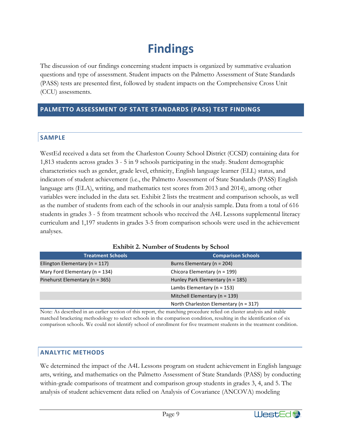## **Findings**

The discussion of our findings concerning student impacts is organized by summative evaluation questions and type of assessment. Student impacts on the Palmetto Assessment of State Standards (PASS) tests are presented first, followed by student impacts on the Comprehensive Cross Unit (CCU) assessments.

### **PALMETTO ASSESSMENT OF STATE STANDARDS (PASS) TEST FINDINGS**

## **SAMPLE**

WestEd received a data set from the Charleston County School District (CCSD) containing data for 1,813 students across grades 3 - 5 in 9 schools participating in the study. Student demographic characteristics such as gender, grade level, ethnicity, English language learner (ELL) status, and indicators of student achievement (i.e., the Palmetto Assessment of State Standards (PASS) English language arts (ELA), writing, and mathematics test scores from 2013 and 2014), among other variables were included in the data set. Exhibit 2 lists the treatment and comparison schools, as well as the number of students from each of the schools in our analysis sample. Data from a total of 616 students in grades 3 - 5 from treatment schools who received the A4L Lessons supplemental literacy curriculum and 1,197 students in grades 3-5 from comparison schools were used in the achievement analyses.

| <b>Treatment Schools</b>           | <b>Comparison Schools</b>             |
|------------------------------------|---------------------------------------|
| Ellington Elementary ( $n = 117$ ) | Burns Elementary ( $n = 204$ )        |
| Mary Ford Elementary ( $n = 134$ ) | Chicora Elementary ( $n = 199$ )      |
| Pinehurst Elementary (n = 365)     | Hunley Park Elementary ( $n = 185$ )  |
|                                    | Lambs Elementary ( $n = 153$ )        |
|                                    | Mitchell Elementary ( $n = 139$ )     |
|                                    | North Charleston Elementary (n = 317) |

#### **Exhibit 2. Number of Students by School**

Note: As described in an earlier section of this report, the matching procedure relied on cluster analysis and stable matched bracketing methodology to select schools in the comparison condition, resulting in the identification of six comparison schools. We could not identify school of enrollment for five treatment students in the treatment condition.

### **ANALYTIC METHODS**

We determined the impact of the A4L Lessons program on student achievement in English language arts, writing, and mathematics on the Palmetto Assessment of State Standards (PASS) by conducting within-grade comparisons of treatment and comparison group students in grades 3, 4, and 5. The analysis of student achievement data relied on Analysis of Covariance (ANCOVA) modeling

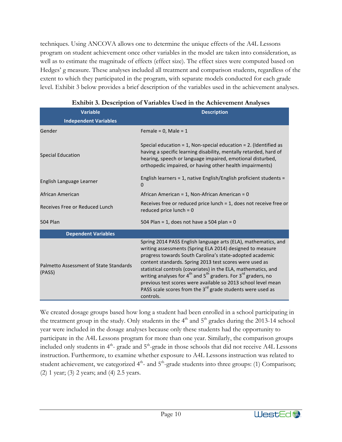techniques. Using ANCOVA allows one to determine the unique effects of the A4L Lessons program on student achievement once other variables in the model are taken into consideration, as well as to estimate the magnitude of effects (effect size). The effect sizes were computed based on Hedges' g measure. These analyses included all treatment and comparison students, regardless of the extent to which they participated in the program, with separate models conducted for each grade level. Exhibit 3 below provides a brief description of the variables used in the achievement analyses.

| <b>Variable</b>                                  | <b>Description</b>                                                                                                                                                                                                                                                                                                                                                                                                                                                                                                                                                                |  |  |  |  |
|--------------------------------------------------|-----------------------------------------------------------------------------------------------------------------------------------------------------------------------------------------------------------------------------------------------------------------------------------------------------------------------------------------------------------------------------------------------------------------------------------------------------------------------------------------------------------------------------------------------------------------------------------|--|--|--|--|
| <b>Independent Variables</b>                     |                                                                                                                                                                                                                                                                                                                                                                                                                                                                                                                                                                                   |  |  |  |  |
| Gender                                           | Female = $0$ , Male = $1$                                                                                                                                                                                                                                                                                                                                                                                                                                                                                                                                                         |  |  |  |  |
| <b>Special Education</b>                         | Special education = 1, Non-special education = 2. (Identified as<br>having a specific learning disability, mentally retarded, hard of<br>hearing, speech or language impaired, emotional disturbed,<br>orthopedic impaired, or having other health impairments)                                                                                                                                                                                                                                                                                                                   |  |  |  |  |
| English Language Learner                         | English learners = 1, native English/English proficient students =<br>0                                                                                                                                                                                                                                                                                                                                                                                                                                                                                                           |  |  |  |  |
| African American                                 | African American = 1, Non-African American = 0                                                                                                                                                                                                                                                                                                                                                                                                                                                                                                                                    |  |  |  |  |
| Receives Free or Reduced Lunch                   | Receives free or reduced price lunch $= 1$ , does not receive free or<br>reduced price lunch = $0$                                                                                                                                                                                                                                                                                                                                                                                                                                                                                |  |  |  |  |
| <b>504 Plan</b>                                  | 504 Plan = 1, does not have a 504 plan = 0                                                                                                                                                                                                                                                                                                                                                                                                                                                                                                                                        |  |  |  |  |
| <b>Dependent Variables</b>                       |                                                                                                                                                                                                                                                                                                                                                                                                                                                                                                                                                                                   |  |  |  |  |
| Palmetto Assessment of State Standards<br>(PASS) | Spring 2014 PASS English language arts (ELA), mathematics, and<br>writing assessments (Spring ELA 2014) designed to measure<br>progress towards South Carolina's state-adopted academic<br>content standards. Spring 2013 test scores were used as<br>statistical controls (covariates) in the ELA, mathematics, and<br>writing analyses for $4^{\text{th}}$ and $5^{\text{th}}$ graders. For $3^{\text{rd}}$ graders, no<br>previous test scores were available so 2013 school level mean<br>PASS scale scores from the 3 <sup>rd</sup> grade students were used as<br>controls. |  |  |  |  |

|  |  | Exhibit 3. Description of Variables Used in the Achievement Analyses |  |
|--|--|----------------------------------------------------------------------|--|
|  |  |                                                                      |  |

We created dosage groups based how long a student had been enrolled in a school participating in the treatment group in the study. Only students in the  $4<sup>th</sup>$  and  $5<sup>th</sup>$  grades during the 2013-14 school year were included in the dosage analyses because only these students had the opportunity to participate in the A4L Lessons program for more than one year. Similarly, the comparison groups included only students in  $4<sup>th</sup>$ - grade and  $5<sup>th</sup>$ -grade in those schools that did not receive A4L Lessons instruction. Furthermore, to examine whether exposure to A4L Lessons instruction was related to student achievement, we categorized  $4<sup>th</sup>$ - and  $5<sup>th</sup>$ -grade students into three groups: (1) Comparison; (2) 1 year; (3) 2 years; and (4) 2.5 years.

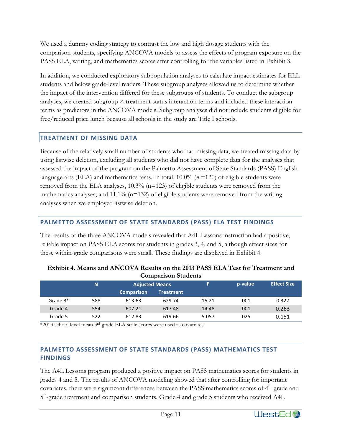We used a dummy coding strategy to contrast the low and high dosage students with the comparison students, specifying ANCOVA models to assess the effects of program exposure on the PASS ELA, writing, and mathematics scores after controlling for the variables listed in Exhibit 3.

In addition, we conducted exploratory subpopulation analyses to calculate impact estimates for ELL students and below grade-level readers. These subgroup analyses allowed us to determine whether the impact of the intervention differed for these subgroups of students. To conduct the subgroup analyses, we created subgroup  $\times$  treatment status interaction terms and included these interaction terms as predictors in the ANCOVA models. Subgroup analyses did not include students eligible for free/reduced price lunch because all schools in the study are Title I schools.

## **TREATMENT OF MISSING DATA**

Because of the relatively small number of students who had missing data, we treated missing data by using listwise deletion, excluding all students who did not have complete data for the analyses that assessed the impact of the program on the Palmetto Assessment of State Standards (PASS) English language arts (ELA) and mathematics tests. In total, 10.0% (*n* =120) of eligible students were removed from the ELA analyses,  $10.3\%$  ( $n=123$ ) of eligible students were removed from the mathematics analyses, and  $11.1\%$  (n=132) of eligible students were removed from the writing analyses when we employed listwise deletion.

## **PALMETTO ASSESSMENT OF STATE STANDARDS (PASS) ELA TEST FINDINGS**

The results of the three ANCOVA models revealed that A4L Lessons instruction had a positive, reliable impact on PASS ELA scores for students in grades 3, 4, and 5, although effect sizes for these within-grade comparisons were small. These findings are displayed in Exhibit 4.

| Companion Students |     |                       |                  |       |         |                    |  |  |  |
|--------------------|-----|-----------------------|------------------|-------|---------|--------------------|--|--|--|
|                    | N   | <b>Adjusted Means</b> |                  | F     | p-value | <b>Effect Size</b> |  |  |  |
|                    |     | <b>Comparison</b>     | <b>Treatment</b> |       |         |                    |  |  |  |
| Grade 3*           | 588 | 613.63                | 629.74           | 15.21 | .001    | 0.322              |  |  |  |
| Grade 4            | 554 | 607.21                | 617.48           | 14.48 | .001    | 0.263              |  |  |  |
| Grade 5            | 522 | 612.83                | 619.66           | 5.057 | .025    | 0.151              |  |  |  |

| Exhibit 4. Means and ANCOVA Results on the 2013 PASS ELA Test for Treatment and |
|---------------------------------------------------------------------------------|
| <b>Comparison Students</b>                                                      |

\*2013 school level mean 3rd-grade ELA scale scores were used as covariates.

### **PALMETTO ASSESSMENT OF STATE STANDARDS (PASS) MATHEMATICS TEST FINDINGS**

The A4L Lessons program produced a positive impact on PASS mathematics scores for students in grades 4 and 5*.* The results of ANCOVA modeling showed that after controlling for important covariates, there were significant differences between the PASS mathematics scores of  $4<sup>th</sup>$ -grade and 5<sup>th</sup>-grade treatment and comparison students. Grade 4 and grade 5 students who received A4L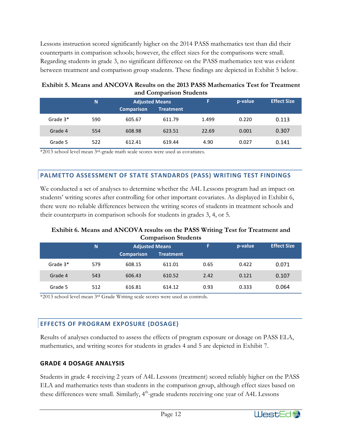Lessons instruction scored significantly higher on the 2014 PASS mathematics test than did their counterparts in comparison schools; however, the effect sizes for the comparisons were small. Regarding students in grade 3, no significant difference on the PASS mathematics test was evident between treatment and comparison group students. These findings are depicted in Exhibit 5 below.

| Exhibit 5. Means and ANCOVA Results on the 2013 PASS Mathematics Test for Treatment |
|-------------------------------------------------------------------------------------|
| and Comparison Students                                                             |

|          | N   | <b>Adjusted Means</b> |                  | F     | p-value | <b>Effect Size</b> |
|----------|-----|-----------------------|------------------|-------|---------|--------------------|
|          |     | <b>Comparison</b>     | <b>Treatment</b> |       |         |                    |
| Grade 3* | 590 | 605.67                | 611.79           | 1.499 | 0.220   | 0.113              |
| Grade 4  | 554 | 608.98                | 623.51           | 22.69 | 0.001   | 0.307              |
| Grade 5  | 522 | 612.41                | 619.44           | 4.90  | 0.027   | 0.141              |

\*2013 school level mean 3rd-grade math scale scores were used as covariates.

## **PALMETTO ASSESSMENT OF STATE STANDARDS (PASS) WRITING TEST FINDINGS**

We conducted a set of analyses to determine whether the A4L Lessons program had an impact on students' writing scores after controlling for other important covariates. As displayed in Exhibit 6, there were no reliable differences between the writing scores of students in treatment schools and their counterparts in comparison schools for students in grades 3, 4, or 5.

#### **Exhibit 6. Means and ANCOVA results on the PASS Writing Test for Treatment and Comparison Students**

|            | N   | <b>Adjusted Means</b> |                  | F    | p-value | <b>Effect Size</b> |
|------------|-----|-----------------------|------------------|------|---------|--------------------|
|            |     | <b>Comparison</b>     | <b>Treatment</b> |      |         |                    |
| Grade $3*$ | 579 | 608.15                | 611.01           | 0.65 | 0.422   | 0.071              |
| Grade 4    | 543 | 606.43                | 610.52           | 2.42 | 0.121   | 0.107              |
| Grade 5    | 512 | 616.81                | 614.12           | 0.93 | 0.333   | 0.064              |

\*2013 school level mean 3rd Grade Writing scale scores were used as controls.

## **EFFECTS OF PROGRAM EXPOSURE (DOSAGE)**

Results of analyses conducted to assess the effects of program exposure or dosage on PASS ELA, mathematics, and writing scores for students in grades 4 and 5 are depicted in Exhibit 7.

## **GRADE 4 DOSAGE ANALYSIS**

Students in grade 4 receiving 2 years of A4L Lessons (treatment) scored reliably higher on the PASS ELA and mathematics tests than students in the comparison group, although effect sizes based on these differences were small. Similarly, 4<sup>th</sup>-grade students receiving one year of A4L Lessons

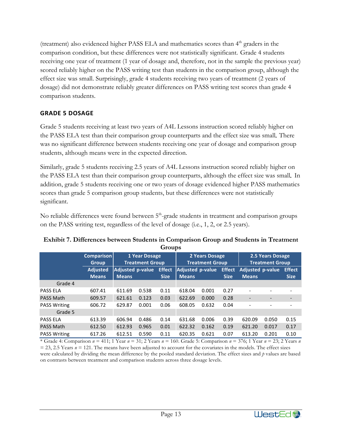(treatment) also evidenced higher PASS ELA and mathematics scores than 4<sup>th</sup> graders in the comparison condition, but these differences were not statistically significant.Grade 4 students receiving one year of treatment (1 year of dosage and, therefore, not in the sample the previous year) scored reliably higher on the PASS writing test than students in the comparison group, although the effect size was small. Surprisingly, grade 4 students receiving two years of treatment (2 years of dosage) did not demonstrate reliably greater differences on PASS writing test scores than grade 4 comparison students.

## **GRADE 5 DOSAGE**

Grade 5 students receiving at least two years of A4L Lessons instruction scored reliably higher on the PASS ELA test than their comparison group counterparts and the effect size was small*.* There was no significant difference between students receiving one year of dosage and comparison group students, although means were in the expected direction.

Similarly, grade 5 students receiving 2.5 years of A4L Lessons instruction scored reliably higher on the PASS ELA test than their comparison group counterparts, although the effect size was small*.* In addition, grade 5 students receiving one or two years of dosage evidenced higher PASS mathematics scores than grade 5 comparison group students, but these differences were not statistically significant.

No reliable differences were found between  $5<sup>th</sup>$ -grade students in treatment and comparison groups on the PASS writing test, regardless of the level of dosage (i.e., 1, 2, or 2.5 years).

#### **Exhibit 7. Differences between Students in Comparison Group and Students in Treatment Groups**

|                     | <b>Comparison</b><br><b>Group</b> | 1 Year Dosage<br><b>Treatment Group</b> |       | 2 Years Dosage<br><b>Treatment Group</b> |                  |       | 2.5 Years Dosage<br><b>Treatment Group</b> |                          |       |               |
|---------------------|-----------------------------------|-----------------------------------------|-------|------------------------------------------|------------------|-------|--------------------------------------------|--------------------------|-------|---------------|
|                     | <b>Adjusted</b>                   | Adjusted p-value                        |       | <b>Effect</b>                            | Adjusted p-value |       | <b>Effect</b>                              | <b>Adjusted p-value</b>  |       | <b>Effect</b> |
|                     | <b>Means</b>                      | <b>Means</b>                            |       | <b>Size</b>                              | <b>Means</b>     |       | <b>Size</b>                                | <b>Means</b>             |       | <b>Size</b>   |
| Grade 4             |                                   |                                         |       |                                          |                  |       |                                            |                          |       |               |
| <b>PASS ELA</b>     | 607.41                            | 611.69                                  | 0.538 | 0.11                                     | 618.04           | 0.001 | 0.27                                       | $\overline{\phantom{a}}$ |       |               |
| <b>PASS Math</b>    | 609.57                            | 621.61                                  | 0.123 | 0.03                                     | 622.69           | 0.000 | 0.28                                       |                          |       |               |
| <b>PASS Writing</b> | 606.72                            | 629.87                                  | 0.001 | 0.06                                     | 608.05           | 0.632 | 0.04                                       |                          |       |               |
| Grade 5             |                                   |                                         |       |                                          |                  |       |                                            |                          |       |               |
| <b>PASS ELA</b>     | 613.39                            | 606.94                                  | 0.486 | 0.14                                     | 631.68           | 0.006 | 0.39                                       | 620.09                   | 0.050 | 0.15          |
| <b>PASS Math</b>    | 612.50                            | 612.93                                  | 0.965 | 0.01                                     | 622.32           | 0.162 | 0.19                                       | 621.20                   | 0.017 | 0.17          |
| <b>PASS Writing</b> | 617.26                            | 612.51                                  | 0.590 | 0.11                                     | 620.35           | 0.621 | 0.07                                       | 613.20                   | 0.201 | 0.10          |

\* Grade 4: Comparison *n* = 411; 1 Year *n* = 31; 2 Years *n* = 160. Grade 5: Comparison *n* = 376; 1 Year *n* = 23; 2 Years *n*  $= 23, 2.5$  Years  $n = 121$ . The means have been adjusted to account for the covariates in the models. The effect sizes were calculated by dividing the mean difference by the pooled standard deviation. The effect sizes and *p* values are based on contrasts between treatment and comparison students across three dosage levels.

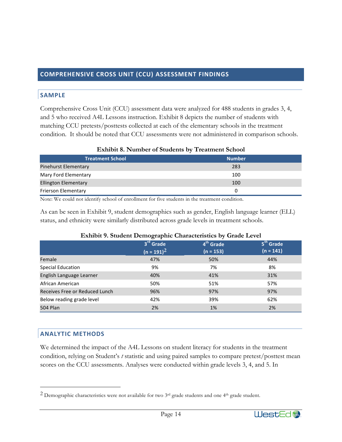## **COMPREHENSIVE CROSS UNIT (CCU) ASSESSMENT FINDINGS**

#### **SAMPLE**

Comprehensive Cross Unit (CCU) assessment data were analyzed for 488 students in grades 3, 4, and 5 who received A4L Lessons instruction. Exhibit 8 depicts the number of students with matching CCU pretests/posttests collected at each of the elementary schools in the treatment condition. It should be noted that CCU assessments were not administered in comparison schools.

| <b>EXHIDIT 0. INDITIDEL OF SUBJECTIVE DY TTEALMENT SCHOOL</b> |               |  |
|---------------------------------------------------------------|---------------|--|
| <b>Treatment School</b>                                       | <b>Number</b> |  |
| <b>Pinehurst Elementary</b>                                   | 283           |  |
| Mary Ford Elementary                                          | 100           |  |
| <b>Ellington Elementary</b>                                   | 100           |  |
| Frierson Elementary                                           | 0             |  |

#### **Exhibit 8. Number of Students by Treatment School**

Note: We could not identify school of enrollment for five students in the treatment condition.

As can be seen in Exhibit 9, student demographics such as gender, English language learner (ELL) status, and ethnicity were similarly distributed across grade levels in treatment schools.

|                                | LAMOR 7. ORGAN DUMOGRAPHIC CHARACTERIUS DY GRAGE LUVER |                       |                       |
|--------------------------------|--------------------------------------------------------|-----------------------|-----------------------|
|                                | 3 <sup>rd</sup> Grade                                  | 4 <sup>th</sup> Grade | 5 <sup>th</sup> Grade |
|                                | $(n = 191)^2$                                          | $(n = 153)$           | $(n = 141)$           |
| Female                         | 47%                                                    | 50%                   | 44%                   |
| <b>Special Education</b>       | 9%                                                     | 7%                    | 8%                    |
| English Language Learner       | 40%                                                    | 41%                   | 31%                   |
| African American               | 50%                                                    | 51%                   | 57%                   |
| Receives Free or Reduced Lunch | 96%                                                    | 97%                   | 97%                   |
| Below reading grade level      | 42%                                                    | 39%                   | 62%                   |
| <b>504 Plan</b>                | 2%                                                     | 1%                    | 2%                    |

#### **Exhibit 9. Student Demographic Characteristics by Grade Level**

#### **ANALYTIC METHODS**

We determined the impact of the A4L Lessons on student literacy for students in the treatment condition, relying on Student's *t* statistic and using paired samples to compare pretest/posttest mean scores on the CCU assessments. Analyses were conducted within grade levels 3, 4, and 5. In

<sup>&</sup>lt;sup>2</sup> Demographic characteristics were not available for two <sup>3rd</sup> grade students and one <sup>4th</sup> grade student.

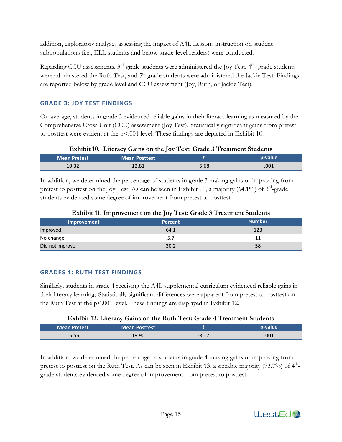addition, exploratory analyses assessing the impact of A4L Lessons instruction on student subpopulations (i.e., ELL students and below grade-level readers) were conducted.

Regarding CCU assessments,  $3<sup>rd</sup>$ -grade students were administered the Joy Test,  $4<sup>th</sup>$ -grade students were administered the Ruth Test, and  $5<sup>th</sup>$ -grade students were administered the Jackie Test. Findings are reported below by grade level and CCU assessment (Joy, Ruth, or Jackie Test).

## **GRADE 3: JOY TEST FINDINGS**

On average, students in grade 3 evidenced reliable gains in their literacy learning as measured by the Comprehensive Cross Unit (CCU) assessment (Joy Test).Statistically significant gains from pretest to posttest were evident at the  $p<0.01$  level. These findings are depicted in Exhibit 10.

### **Exhibit 10. Literacy Gains on the Joy Test: Grade 3 Treatment Students**

| <b>Mean Pretest</b> | <b>Mean Posttest</b> |         | p-value |
|---------------------|----------------------|---------|---------|
| 10.32               | 12.81                | $-5.68$ | .001    |

In addition, we determined the percentage of students in grade 3 making gains or improving from pretest to posttest on the Joy Test. As can be seen in Exhibit 11, a majority (64.1%) of  $3^{rd}$ -grade students evidenced some degree of improvement from pretest to posttest.

| municie in improvement on the joy rective crate of retaining cratemic |                |               |
|-----------------------------------------------------------------------|----------------|---------------|
| Improvement                                                           | <b>Percent</b> | <b>Number</b> |
| Improved                                                              | 64.1           | 123           |
| No change                                                             |                |               |
| Did not improve                                                       | 30.2           | 58            |

### **Exhibit 11. Improvement on the Joy Test: Grade 3 Treatment Students**

## **GRADES 4: RUTH TEST FINDINGS**

Similarly, students in grade 4 receiving the A4L supplemental curriculum evidenced reliable gains in their literacy learning*.* Statistically significant differences were apparent from pretest to posttest on the Ruth Test at the p<.001 level. These findings are displayed in Exhibit 12.

### **Exhibit 12. Literacy Gains on the Ruth Test: Grade 4 Treatment Students**

| Mean Pretest | <b>Mean Posttest</b> |         | p-value |
|--------------|----------------------|---------|---------|
| 15.56        | 19.90                | $-8.17$ | .001    |

In addition, we determined the percentage of students in grade 4 making gains or improving from pretest to posttest on the Ruth Test. As can be seen in Exhibit 13, a sizeable majority  $(73.7%)$  of  $4<sup>th</sup>$ grade students evidenced some degree of improvement from pretest to posttest.

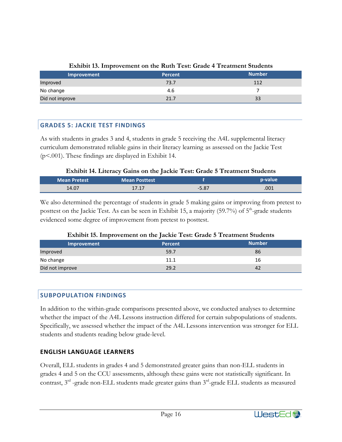| Improvement     | Percent | <b>Number</b> |
|-----------------|---------|---------------|
| Improved        | 73.7    | 112           |
| No change       | 4.6     |               |
| Did not improve | 21.7    | 33            |

#### **Exhibit 13. Improvement on the Ruth Test: Grade 4 Treatment Students**

## **GRADES 5: JACKIE TEST FINDINGS**

As with students in grades 3 and 4, students in grade 5 receiving the A4L supplemental literacy curriculum demonstrated reliable gains in their literacy learningas assessed on the Jackie Test (p<.001). These findings are displayed in Exhibit 14.

#### **Exhibit 14. Literacy Gains on the Jackie Test: Grade 5 Treatment Students**

| <b>Mean Pretest</b> | <b>Mean Posttest</b> |         | p-value |
|---------------------|----------------------|---------|---------|
| 14.07               | 1717<br>11.1         | $-5.87$ | .001    |

We also determined the percentage of students in grade 5 making gains or improving from pretest to posttest on the Jackie Test. As can be seen in Exhibit 15, a majority (59.7%) of 5<sup>th</sup>-grade students evidenced some degree of improvement from pretest to posttest.

#### **Exhibit 15. Improvement on the Jackie Test: Grade 5 Treatment Students**

| Improvement     | <b>Percent</b> | <b>Number</b> |
|-----------------|----------------|---------------|
| Improved        | 59.7           | 86            |
| No change       | 11.1           | 16            |
| Did not improve | 29.2           | 42            |

### **SUBPOPULATION FINDINGS**

In addition to the within-grade comparisons presented above, we conducted analyses to determine whether the impact of the A4L Lessons instruction differed for certain subpopulations of students. Specifically, we assessed whether the impact of the A4L Lessons intervention was stronger for ELL students and students reading below grade-level.

### **ENGLISH LANGUAGE LEARNERS**

Overall, ELL students in grades 4 and 5 demonstrated greater gains than non-ELL students in grades 4 and 5 on the CCU assessments, although these gains were not statistically significant. In contrast,  $3<sup>rd</sup>$  -grade non-ELL students made greater gains than  $3<sup>rd</sup>$ -grade ELL students as measured

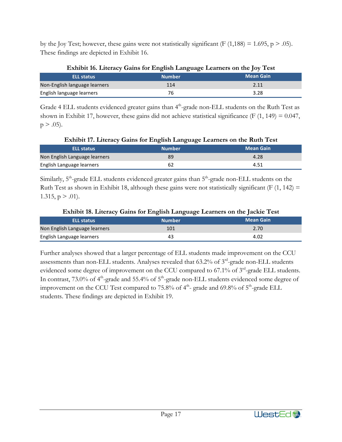by the Joy Test; however, these gains were not statistically significant (F  $(1,188) = 1.695$ , p > .05). These findings are depicted in Exhibit 16.

| <b>ELL status</b>             | <b>Number</b> | <b>Mean Gain</b> |
|-------------------------------|---------------|------------------|
| Non-English language learners | 114           | 2.11             |
| English language learners     | 76            | 3.28             |

Grade 4 ELL students evidenced greater gains than 4<sup>th</sup>-grade non-ELL students on the Ruth Test as shown in Exhibit 17, however, these gains did not achieve statistical significance (F  $(1, 149) = 0.047$ ,  $p > .05$ ).

**Exhibit 17. Literacy Gains for English Language Learners on the Ruth Test**

| <b>ELL status</b>             | <b>Number</b> | Mean Gain |
|-------------------------------|---------------|-----------|
| Non English Language learners | 89            | 4.28      |
| English Language learners     |               | 4.51      |

Similarly, 5<sup>th</sup>-grade ELL students evidenced greater gains than 5<sup>th</sup>-grade non-ELL students on the Ruth Test as shown in Exhibit 18, although these gains were not statistically significant (F  $(1, 142)$  = 1.315,  $p > .01$ ).

| <b>ELL status</b>             | <b>Number</b> | Mean Gain |
|-------------------------------|---------------|-----------|
| Non English Language learners | 101           | 2.70      |
| English Language learners     | 43            | 4.02      |

Further analyses showed that a larger percentage of ELL students made improvement on the CCU assessments than non-ELL students. Analyses revealed that 63.2% of 3<sup>rd</sup>-grade non-ELL students evidenced some degree of improvement on the CCU compared to 67.1% of 3<sup>rd</sup>-grade ELL students. In contrast, 73.0% of 4<sup>th</sup>-grade and 55.4% of 5<sup>th</sup>-grade non-ELL students evidenced some degree of improvement on the CCU Test compared to 75.8% of  $4<sup>th</sup>$ - grade and 69.8% of  $5<sup>th</sup>$ -grade ELL students. These findings are depicted in Exhibit 19.

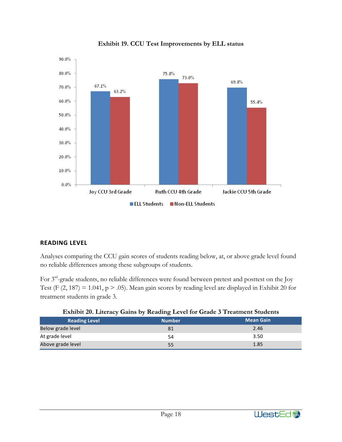

**Exhibit 19. CCU Test Improvements by ELL status**

### **READING LEVEL**

Analyses comparing the CCU gain scores of students reading below, at, or above grade level found no reliable differences among these subgroups of students.

For 3rd-grade students, no reliable differences were found between pretest and posttest on the Joy Test (F  $(2, 187) = 1.041$ , p > .05). Mean gain scores by reading level are displayed in Exhibit 20 for treatment students in grade 3.

| <b>Reading Level</b> | <b>Number</b> | <b>Mean Gain</b> |
|----------------------|---------------|------------------|
| Below grade level    | 81            | 2.46             |
| At grade level       | 54            | 3.50             |
| Above grade level    | 55            | 1.85             |

|  |  | Exhibit 20. Literacy Gains by Reading Level for Grade 3 Treatment Students |
|--|--|----------------------------------------------------------------------------|
|  |  |                                                                            |

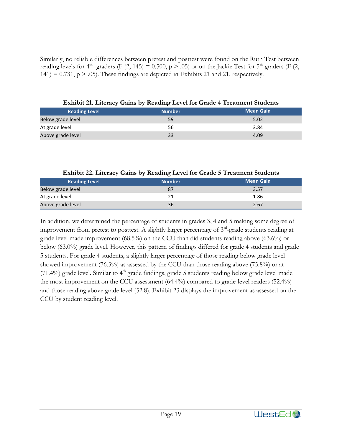Similarly, no reliable differences between pretest and posttest were found on the Ruth Test between reading levels for 4<sup>th</sup>- graders (F (2, 145) = 0.500, p > .05) or on the Jackie Test for 5<sup>th</sup>-graders (F (2,  $141$ ) = 0.731, p > .05). These findings are depicted in Exhibits 21 and 21, respectively.

|                      | o             |                  |
|----------------------|---------------|------------------|
| <b>Reading Level</b> | <b>Number</b> | <b>Mean Gain</b> |
| Below grade level    | 59            | 5.02             |
| At grade level       | 56            | 3.84             |
| Above grade level    | 33            | 4.09             |

**Exhibit 21. Literacy Gains by Reading Level for Grade 4 Treatment Students**

| $\frac{1}{2}$ $\frac{1}{2}$ $\frac{1}{2}$ $\frac{1}{2}$ $\frac{1}{2}$ $\frac{1}{2}$ $\frac{1}{2}$ $\frac{1}{2}$ $\frac{1}{2}$ $\frac{1}{2}$ $\frac{1}{2}$ $\frac{1}{2}$ $\frac{1}{2}$ $\frac{1}{2}$ $\frac{1}{2}$ $\frac{1}{2}$ $\frac{1}{2}$ $\frac{1}{2}$ $\frac{1}{2}$ $\frac{1}{2}$ $\frac{1}{2}$ $\frac{1}{2}$ |               |                  |  |  |
|---------------------------------------------------------------------------------------------------------------------------------------------------------------------------------------------------------------------------------------------------------------------------------------------------------------------|---------------|------------------|--|--|
| <b>Reading Level</b>                                                                                                                                                                                                                                                                                                | <b>Number</b> | <b>Mean Gain</b> |  |  |
| Below grade level                                                                                                                                                                                                                                                                                                   |               | 3.57             |  |  |
| At grade level                                                                                                                                                                                                                                                                                                      |               | 1.86             |  |  |
| Above grade level                                                                                                                                                                                                                                                                                                   | 36            | 2.67             |  |  |

**Exhibit 22. Literacy Gains by Reading Level for Grade 5 Treatment Students**

In addition, we determined the percentage of students in grades 3, 4 and 5 making some degree of improvement from pretest to posttest. A slightly larger percentage of 3<sup>rd</sup>-grade students reading at grade level made improvement (68.5%) on the CCU than did students reading above (63.6%) or below (63.0%) grade level. However, this pattern of findings differed for grade 4 students and grade 5 students. For grade 4 students, a slightly larger percentage of those reading below grade level showed improvement (76.3%) as assessed by the CCU than those reading above (75.8%) or at  $(71.4\%)$  grade level. Similar to  $4<sup>th</sup>$  grade findings, grade 5 students reading below grade level made the most improvement on the CCU assessment (64.4%) compared to grade-level readers (52.4%) and those reading above grade level (52.8). Exhibit 23 displays the improvement as assessed on the CCU by student reading level.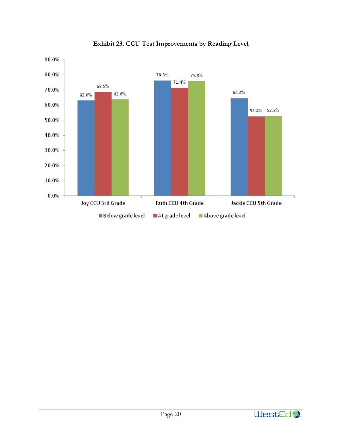

**Exhibit 23. CCU Test Improvements by Reading Level**

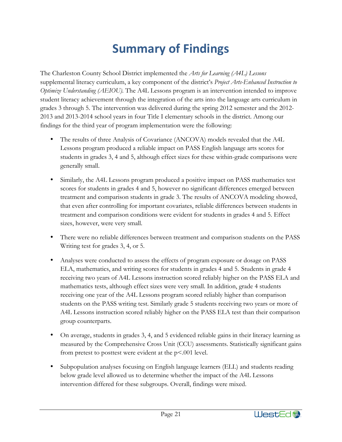## **Summary of Findings**

The Charleston County School District implemented the *Arts for Learning (A4L) Lessons* supplemental literacy curriculum, a key component of the district's *Project Arts-Enhanced Instruction to Optimize Understanding (AEIOU).* The A4L Lessons program is an intervention intended to improve student literacy achievement through the integration of the arts into the language arts curriculum in grades 3 through 5. The intervention was delivered during the spring 2012 semester and the 2012- 2013 and 2013-2014 school years in four Title I elementary schools in the district. Among our findings for the third year of program implementation were the following:

- The results of three Analysis of Covariance (ANCOVA) models revealed that the A4L Lessons program produced a reliable impact on PASS English language arts scores for students in grades 3, 4 and 5, although effect sizes for these within-grade comparisons were generally small.
- Similarly, the A4L Lessons program produced a positive impact on PASS mathematics test scores for students in grades 4 and 5, however no significant differences emerged between treatment and comparison students in grade 3. The results of ANCOVA modeling showed, that even after controlling for important covariates, reliable differences between students in treatment and comparison conditions were evident for students in grades 4 and 5. Effect sizes, however, were very small.
- There were no reliable differences between treatment and comparison students on the PASS Writing test for grades 3, 4, or 5.
- Analyses were conducted to assess the effects of program exposure or dosage on PASS ELA, mathematics, and writing scores for students in grades 4 and 5.Students in grade 4 receiving two years of A4L Lessons instruction scored reliably higher on the PASS ELA and mathematics tests, although effect sizes were very small. In addition, grade 4 students receiving one year of the A4L Lessons program scored reliably higher than comparison students on the PASS writing test. Similarly grade 5 students receiving two years or more of A4L Lessons instruction scored reliably higher on the PASS ELA test than their comparison group counterparts.
- On average, students in grades 3, 4, and 5 evidenced reliable gains in their literacy learning as measured by the Comprehensive Cross Unit (CCU) assessments. Statistically significant gains from pretest to posttest were evident at the p<.001 level.
- Subpopulation analyses focusing on English language learners (ELL) and students reading below grade level allowed us to determine whether the impact of the A4L Lessons intervention differed for these subgroups. Overall, findings were mixed.

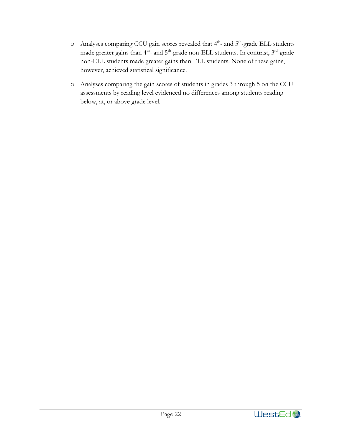- $\circ$  Analyses comparing CCU gain scores revealed that  $4^{th}$  and  $5^{th}$ -grade ELL students made greater gains than 4<sup>th</sup>- and 5<sup>th</sup>-grade non-ELL students. In contrast, 3<sup>rd</sup>-grade non-ELL students made greater gains than ELL students. None of these gains, however, achieved statistical significance.
- o Analyses comparing the gain scores of students in grades 3 through 5 on the CCU assessments by reading level evidenced no differences among students reading below, at, or above grade level.